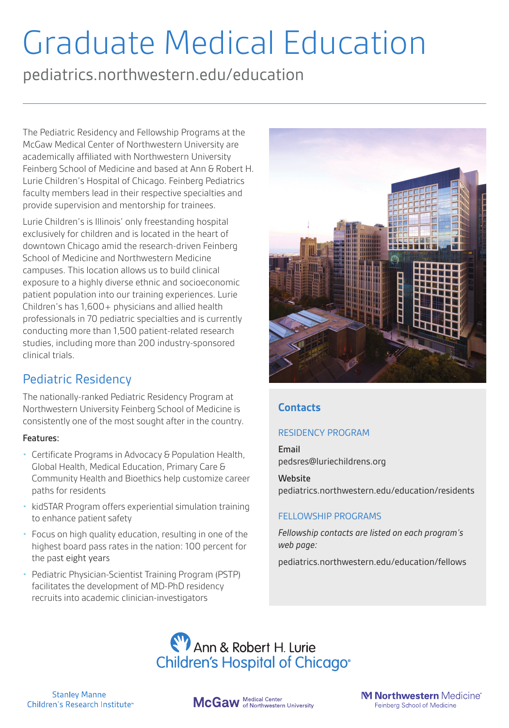# Graduate Medical Education

pediatrics.northwestern.edu/education

The Pediatric Residency and Fellowship Programs at the McGaw Medical Center of Northwestern University are academically affiliated with Northwestern University Feinberg School of Medicine and based at Ann & Robert H. Lurie Children's Hospital of Chicago. Feinberg Pediatrics faculty members lead in their respective specialties and provide supervision and mentorship for trainees.

Lurie Children's is Illinois' only freestanding hospital exclusively for children and is located in the heart of downtown Chicago amid the research-driven Feinberg School of Medicine and Northwestern Medicine campuses. This location allows us to build clinical exposure to a highly diverse ethnic and socioeconomic patient population into our training experiences. Lurie Children's has 1,600+ physicians and allied health professionals in 70 pediatric specialties and is currently conducting more than 1,500 patient-related research studies, including more than 200 industry-sponsored clinical trials.

## Pediatric Residency

The nationally-ranked Pediatric Residency Program at Northwestern University Feinberg School of Medicine is consistently one of the most sought after in the country.

#### Features:

- Certificate Programs in Advocacy & Population Health, Global Health, Medical Education, Primary Care & Community Health and Bioethics help customize career paths for residents
- kidSTAR Program offers experiential simulation training to enhance patient safety
- Focus on high quality education, resulting in one of the highest board pass rates in the nation: 100 percent for the past eight years
- Pediatric Physician-Scientist Training Program (PSTP) facilitates the development of MD-PhD residency recruits into academic clinician-investigators



## **Contacts**

### RESIDENCY PROGRAM

Email pedsres@luriechildrens.org

**Website** pediatrics.northwestern.edu/education/residents

#### FELLOWSHIP PROGRAMS

*Fellowship contacts are listed on each program's web page:*

pediatrics.northwestern.edu/education/fellows



**Stanley Manne** Children's Research Institute<sup>®</sup>

McGaw Medical Center<br>McGaw of Northwestern University

M Northwestern Medicine® Feinberg School of Medicine